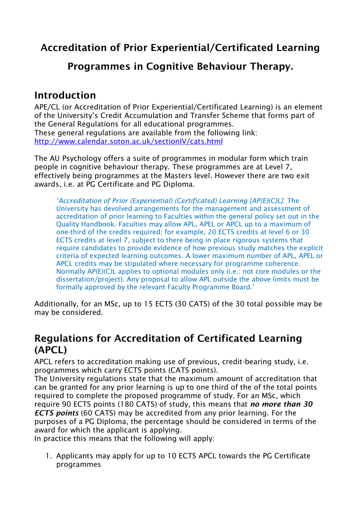# **Accreditation of Prior Experiential/Certificated Learning**

### **Programmes in Cognitive Behaviour Therapy.**

#### **Introduction**

APE/CL (or Accreditation of Prior Experiential/Certificated Learning) is an element of the University's Credit Accumulation and Transfer Scheme that forms part of the General Regulations for all educational programmes. These general regulations are available from the following link: <http://www.calendar.soton.ac.uk/sectionIV/cats.html>

The AU Psychology offers a suite of programmes in modular form which train people in cognitive behaviour therapy. These programmes are at Level 7, effectively being programmes at the Masters level. However there are two exit awards, i.e. at PG Certificate and PG Diploma.

*'Accreditation of Prior (Experiential) (Certificated) Learning [AP(E)(C)L]:* The University has devolved arrangements for the management and assessment of accreditation of prior learning to Faculties within the general policy set out in the Quality Handbook. Faculties may allow APL, APEL or APCL up to a maximum of one-third of the credits required; for example, 20 ECTS credits at level 6 or 30 ECTS credits at level 7, subject to there being in place rigorous systems that require candidates to provide evidence of how previous study matches the explicit criteria of expected learning outcomes. A lower maximum number of APL, APEL or APCL credits may be stipulated where necessary for programme coherence. Normally AP(E)(C)L applies to optional modules only (i.e.: not core modules or the dissertation/project). Any proposal to allow APL outside the above limits must be formally approved by the relevant Faculty Programme Board.'

Additionally, for an MSc, up to 15 ECTS (30 CATS) of the 30 total possible may be may be considered.

## **Regulations for Accreditation of Certificated Learning (APCL)**

APCL refers to accreditation making use of previous, credit-bearing study, i.e. programmes which carry ECTS points (CATS points).

The University regulations state that the maximum amount of accreditation that can be granted for any prior learning is up to one third of the of the total points required to complete the proposed programme of study. For an MSc, which require 90 ECTS points (180 CATS) of study, this means that *no more than 30 ECTS points* (60 CATS) may be accredited from any prior learning. For the purposes of a PG Diploma, the percentage should be considered in terms of the award for which the applicant is applying.

In practice this means that the following will apply:

1. Applicants may apply for up to 10 ECTS APCL towards the PG Certificate programmes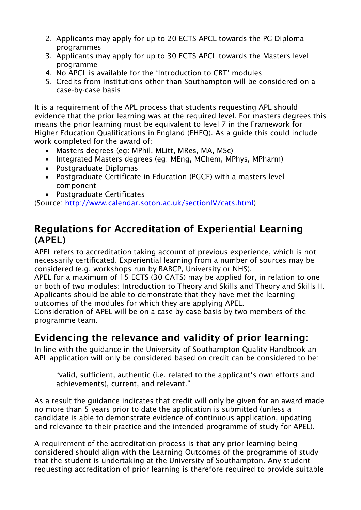- 2. Applicants may apply for up to 20 ECTS APCL towards the PG Diploma programmes
- 3. Applicants may apply for up to 30 ECTS APCL towards the Masters level programme
- 4. No APCL is available for the 'Introduction to CBT' modules
- 5. Credits from institutions other than Southampton will be considered on a case-by-case basis

It is a requirement of the APL process that students requesting APL should evidence that the prior learning was at the required level. For masters degrees this means the prior learning must be equivalent to level 7 in the Framework for Higher Education Qualifications in England (FHEQ). As a guide this could include work completed for the award of:

- Masters degrees (eg: MPhil, MLitt, MRes, MA, MSc)
- Integrated Masters degrees (eg: MEng, MChem, MPhys, MPharm)
- Postgraduate Diplomas
- Postgraduate Certificate in Education (PGCE) with a masters level component
- Postgraduate Certificates

(Source: [http://www.calendar.soton.ac.uk/sectionIV/cats.html\)](http://www.calendar.soton.ac.uk/sectionIV/cats.html)

### **Regulations for Accreditation of Experiential Learning (APEL)**

APEL refers to accreditation taking account of previous experience, which is not necessarily certificated. Experiential learning from a number of sources may be considered (e.g. workshops run by BABCP, University or NHS).

APEL for a maximum of 15 ECTS (30 CATS) may be applied for, in relation to one or both of two modules: Introduction to Theory and Skills and Theory and Skills II. Applicants should be able to demonstrate that they have met the learning outcomes of the modules for which they are applying APEL.

Consideration of APEL will be on a case by case basis by two members of the programme team.

## **Evidencing the relevance and validity of prior learning:**

In line with the guidance in the University of Southampton Quality Handbook an APL application will only be considered based on credit can be considered to be:

"valid, sufficient, authentic (i.e. related to the applicant's own efforts and achievements), current, and relevant."

As a result the guidance indicates that credit will only be given for an award made no more than 5 years prior to date the application is submitted (unless a candidate is able to demonstrate evidence of continuous application, updating and relevance to their practice and the intended programme of study for APEL).

A requirement of the accreditation process is that any prior learning being considered should align with the Learning Outcomes of the programme of study that the student is undertaking at the University of Southampton. Any student requesting accreditation of prior learning is therefore required to provide suitable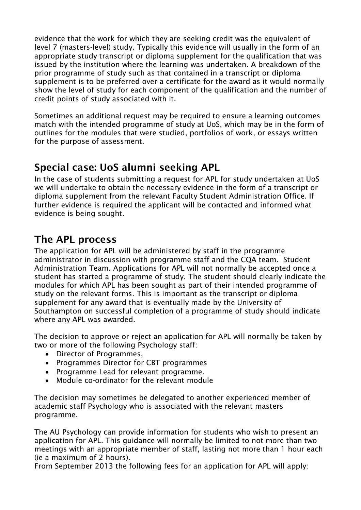evidence that the work for which they are seeking credit was the equivalent of level 7 (masters-level) study. Typically this evidence will usually in the form of an appropriate study transcript or diploma supplement for the qualification that was issued by the institution where the learning was undertaken. A breakdown of the prior programme of study such as that contained in a transcript or diploma supplement is to be preferred over a certificate for the award as it would normally show the level of study for each component of the qualification and the number of credit points of study associated with it.

Sometimes an additional request may be required to ensure a learning outcomes match with the intended programme of study at UoS, which may be in the form of outlines for the modules that were studied, portfolios of work, or essays written for the purpose of assessment.

# **Special case: UoS alumni seeking APL**

In the case of students submitting a request for APL for study undertaken at UoS we will undertake to obtain the necessary evidence in the form of a transcript or diploma supplement from the relevant Faculty Student Administration Office. If further evidence is required the applicant will be contacted and informed what evidence is being sought.

## **The APL process**

The application for APL will be administered by staff in the programme administrator in discussion with programme staff and the CQA team. Student Administration Team. Applications for APL will not normally be accepted once a student has started a programme of study. The student should clearly indicate the modules for which APL has been sought as part of their intended programme of study on the relevant forms. This is important as the transcript or diploma supplement for any award that is eventually made by the University of Southampton on successful completion of a programme of study should indicate where any APL was awarded.

The decision to approve or reject an application for APL will normally be taken by two or more of the following Psychology staff:

- Director of Programmes,
- Programmes Director for CBT programmes
- Programme Lead for relevant programme.
- Module co-ordinator for the relevant module

The decision may sometimes be delegated to another experienced member of academic staff Psychology who is associated with the relevant masters programme.

The AU Psychology can provide information for students who wish to present an application for APL. This guidance will normally be limited to not more than two meetings with an appropriate member of staff, lasting not more than 1 hour each (ie a maximum of 2 hours).

From September 2013 the following fees for an application for APL will apply: